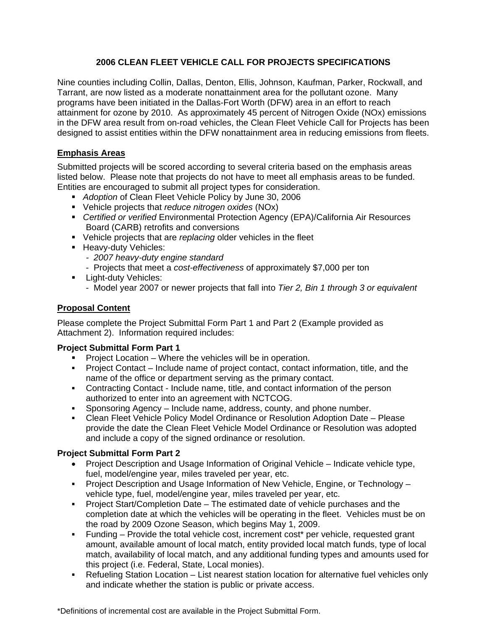## **2006 CLEAN FLEET VEHICLE CALL FOR PROJECTS SPECIFICATIONS**

Nine counties including Collin, Dallas, Denton, Ellis, Johnson, Kaufman, Parker, Rockwall, and Tarrant, are now listed as a moderate nonattainment area for the pollutant ozone. Many programs have been initiated in the Dallas-Fort Worth (DFW) area in an effort to reach attainment for ozone by 2010. As approximately 45 percent of Nitrogen Oxide (NOx) emissions in the DFW area result from on-road vehicles, the Clean Fleet Vehicle Call for Projects has been designed to assist entities within the DFW nonattainment area in reducing emissions from fleets.

## **Emphasis Areas**

Submitted projects will be scored according to several criteria based on the emphasis areas listed below. Please note that projects do not have to meet all emphasis areas to be funded. Entities are encouraged to submit all project types for consideration.

- *Adoption* of Clean Fleet Vehicle Policy by June 30, 2006
- Vehicle projects that *reduce nitrogen oxides* (NOx)
- *Certified or verified* Environmental Protection Agency (EPA)/California Air Resources Board (CARB) retrofits and conversions
- Vehicle projects that are *replacing* older vehicles in the fleet
- **Heavy-duty Vehicles:** 
	- *2007 heavy-duty engine standard*
	- Projects that meet a *cost-effectiveness* of approximately \$7,000 per ton
- **Light-duty Vehicles:** 
	- Model year 2007 or newer projects that fall into *Tier 2, Bin 1 through 3 or equivalent*

# **Proposal Content**

Please complete the Project Submittal Form Part 1 and Part 2 (Example provided as Attachment 2). Information required includes:

#### **Project Submittal Form Part 1**

- Project Location Where the vehicles will be in operation.
- Project Contact Include name of project contact, contact information, title, and the name of the office or department serving as the primary contact.
- Contracting Contact Include name, title, and contact information of the person authorized to enter into an agreement with NCTCOG.
- Sponsoring Agency Include name, address, county, and phone number.
- Clean Fleet Vehicle Policy Model Ordinance or Resolution Adoption Date Please provide the date the Clean Fleet Vehicle Model Ordinance or Resolution was adopted and include a copy of the signed ordinance or resolution.

#### **Project Submittal Form Part 2**

- Project Description and Usage Information of Original Vehicle Indicate vehicle type, fuel, model/engine year, miles traveled per year, etc.
- Project Description and Usage Information of New Vehicle, Engine, or Technology vehicle type, fuel, model/engine year, miles traveled per year, etc.
- Project Start/Completion Date The estimated date of vehicle purchases and the completion date at which the vehicles will be operating in the fleet. Vehicles must be on the road by 2009 Ozone Season, which begins May 1, 2009.
- Funding Provide the total vehicle cost, increment cost\* per vehicle, requested grant amount, available amount of local match, entity provided local match funds, type of local match, availability of local match, and any additional funding types and amounts used for this project (i.e. Federal, State, Local monies).
- Refueling Station Location List nearest station location for alternative fuel vehicles only and indicate whether the station is public or private access.

\*Definitions of incremental cost are available in the Project Submittal Form.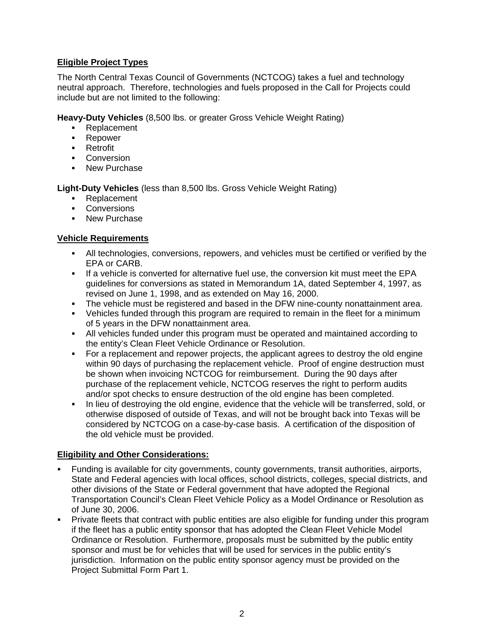## **Eligible Project Types**

The North Central Texas Council of Governments (NCTCOG) takes a fuel and technology neutral approach. Therefore, technologies and fuels proposed in the Call for Projects could include but are not limited to the following:

**Heavy-Duty Vehicles** (8,500 lbs. or greater Gross Vehicle Weight Rating)

- Replacement
- **Repower**
- **Retrofit**
- **Conversion**
- New Purchase

**Light-Duty Vehicles** (less than 8,500 lbs. Gross Vehicle Weight Rating)

- Replacement
- **Conversions**
- New Purchase

#### **Vehicle Requirements**

- All technologies, conversions, repowers, and vehicles must be certified or verified by the EPA or CARB.
- If a vehicle is converted for alternative fuel use, the conversion kit must meet the EPA guidelines for conversions as stated in Memorandum 1A, dated September 4, 1997, as revised on June 1, 1998, and as extended on May 16, 2000.
- The vehicle must be registered and based in the DFW nine-county nonattainment area.
- Vehicles funded through this program are required to remain in the fleet for a minimum of 5 years in the DFW nonattainment area.
- All vehicles funded under this program must be operated and maintained according to the entity's Clean Fleet Vehicle Ordinance or Resolution.
- For a replacement and repower projects, the applicant agrees to destroy the old engine within 90 days of purchasing the replacement vehicle. Proof of engine destruction must be shown when invoicing NCTCOG for reimbursement. During the 90 days after purchase of the replacement vehicle, NCTCOG reserves the right to perform audits and/or spot checks to ensure destruction of the old engine has been completed.
- In lieu of destroying the old engine, evidence that the vehicle will be transferred, sold, or otherwise disposed of outside of Texas, and will not be brought back into Texas will be considered by NCTCOG on a case-by-case basis. A certification of the disposition of the old vehicle must be provided.

#### **Eligibility and Other Considerations:**

- Funding is available for city governments, county governments, transit authorities, airports, State and Federal agencies with local offices, school districts, colleges, special districts, and other divisions of the State or Federal government that have adopted the Regional Transportation Council's Clean Fleet Vehicle Policy as a Model Ordinance or Resolution as of June 30, 2006.
- Private fleets that contract with public entities are also eligible for funding under this program if the fleet has a public entity sponsor that has adopted the Clean Fleet Vehicle Model Ordinance or Resolution. Furthermore, proposals must be submitted by the public entity sponsor and must be for vehicles that will be used for services in the public entity's jurisdiction. Information on the public entity sponsor agency must be provided on the Project Submittal Form Part 1.